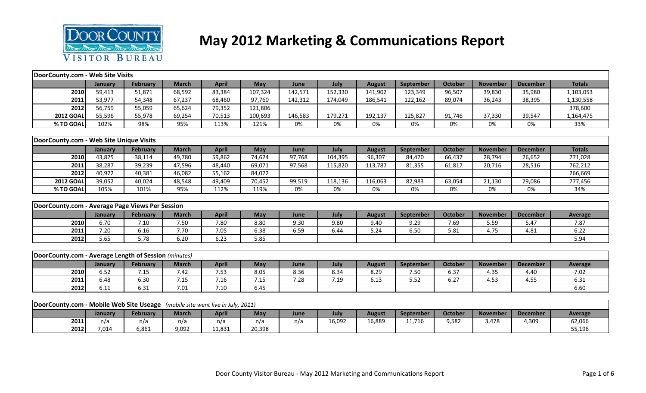

## **May 2012 Marketing & Communications Report**

| DoorCounty.com - Web Site Visits                                              |         |                 |              |              |         |         |         |               |           |                |                 |                 |                |
|-------------------------------------------------------------------------------|---------|-----------------|--------------|--------------|---------|---------|---------|---------------|-----------|----------------|-----------------|-----------------|----------------|
|                                                                               | January | <b>February</b> | <b>March</b> | <b>April</b> | May     | June    | July    | <b>August</b> | September | <b>October</b> | <b>November</b> | <b>December</b> | <b>Totals</b>  |
| 2010                                                                          | 59,413  | 51,871          | 68,592       | 83,384       | 107,324 | 142,571 | 152,330 | 141,902       | 123,349   | 96,507         | 39,830          | 35,980          | 1,103,053      |
| 2011                                                                          | 53,977  | 54,348          | 67,237       | 68,460       | 97,760  | 142,312 | 174,049 | 186,541       | 122,162   | 89,074         | 36,243          | 38,395          | 1,130,558      |
| 2012                                                                          | 56,759  | 55,059          | 65,624       | 79,352       | 121,806 |         |         |               |           |                |                 |                 | 378,600        |
| <b>2012 GOAL</b>                                                              | 55,596  | 55,978          | 69,254       | 70,513       | 100,693 | 146,583 | 179,271 | 192,137       | 125,827   | 91,746         | 37,330          | 39,547          | 1,164,475      |
| % TO GOAL                                                                     | 102%    | 98%             | 95%          | 113%         | 121%    | 0%      | 0%      | 0%            | 0%        | 0%             | 0%              | 0%              | 33%            |
|                                                                               |         |                 |              |              |         |         |         |               |           |                |                 |                 |                |
| DoorCounty.com - Web Site Unique Visits                                       |         |                 |              |              |         |         |         |               |           |                |                 |                 |                |
|                                                                               | January | February        | <b>March</b> | <b>April</b> | May     | June    | July    | <b>August</b> | September | <b>October</b> | <b>November</b> | <b>December</b> | <b>Totals</b>  |
| 2010                                                                          | 43,825  | 38,114          | 49,780       | 59,862       | 74,624  | 97,768  | 104,395 | 96,307        | 84,470    | 66,437         | 28,794          | 26,652          | 771,028        |
| 2011                                                                          | 38,287  | 39,239          | 47,596       | 48,440       | 69,071  | 97,568  | 115,820 | 113,787       | 81,355    | 61,817         | 20,716          | 28,516          | 762,212        |
| 2012                                                                          | 40,972  | 40,381          | 46,082       | 55,162       | 84,072  |         |         |               |           |                |                 |                 | 266,669        |
| <b>2012 GOAL</b>                                                              | 39,052  | 40,024          | 48,548       | 49,409       | 70,452  | 99,519  | 118,136 | 116,063       | 82,983    | 63,054         | 21,130          | 29,086          | 777,456        |
| % TO GOAL                                                                     | 105%    | 101%            | 95%          | 112%         | 119%    | 0%      | 0%      | 0%            | 0%        | 0%             | 0%              | 0%              | 34%            |
|                                                                               |         |                 |              |              |         |         |         |               |           |                |                 |                 |                |
| DoorCounty.com - Average Page Views Per Session                               |         |                 |              |              |         |         |         |               |           |                |                 |                 |                |
|                                                                               | January | <b>February</b> | <b>March</b> | <b>April</b> | May     | June    | July    | <b>August</b> | September | <b>October</b> | <b>November</b> | <b>December</b> | <b>Average</b> |
| 2010                                                                          | 6.70    | 7.10            | 7.50         | 7.80         | 8.80    | 9.30    | 9.80    | 9.40          | 9.29      | 7.69           | 5.59            | 5.47            | 7.87           |
| 2011                                                                          | 7.20    | 6.16            | 7.70         | 7.05         | 6.38    | 6.59    | 6.44    | 5.24          | 6.50      | 5.81           | 4.75            | 4.81            | 6.22           |
| 2012                                                                          | 5.65    | 5.78            | 6.20         | 6.23         | 5.85    |         |         |               |           |                |                 |                 | 5.94           |
|                                                                               |         |                 |              |              |         |         |         |               |           |                |                 |                 |                |
| DoorCounty.com - Average Length of Session (minutes)                          |         |                 |              |              |         |         |         |               |           |                |                 |                 |                |
|                                                                               | January | <b>February</b> | <b>March</b> | <b>April</b> | May     | June    | July    | <b>August</b> | September | <b>October</b> | <b>November</b> | <b>December</b> | <b>Average</b> |
| 2010                                                                          | 6.52    | 7.15            | 7.42         | 7.53         | 8.05    | 8.36    | 8.34    | 8.29          | 7.50      | 6.37           | 4.35            | 4.40            | 7.02           |
| 2011                                                                          | 6.48    | 6.30            | 7.15         | 7.16         | 7.15    | 7.28    | 7.19    | 6.13          | 5.52      | 6.27           | 4.53            | 4.55            | 6.31           |
| 2012                                                                          | 6.11    | 6.31            | 7.01         | 7.10         | 6.45    |         |         |               |           |                |                 |                 | 6.60           |
|                                                                               |         |                 |              |              |         |         |         |               |           |                |                 |                 |                |
| DoorCounty.com - Mobile Web Site Useage (mobile site went live in July, 2011) |         |                 |              |              |         |         |         |               |           |                |                 |                 |                |
|                                                                               | January | <b>February</b> | <b>March</b> | <b>April</b> | May     | June    | July    | <b>August</b> | September | <b>October</b> | <b>November</b> | <b>December</b> | <b>Average</b> |
| 2011                                                                          | n/a     | n/a             | n/a          | n/a          | n/a     | n/a     | 16,092  | 16,889        | 11,716    | 9,582          | 3,478           | 4,309           | 62,066         |
| 2012                                                                          | 7,014   | 6,861           | 9,092        | 11,831       | 20,398  |         |         |               |           |                |                 |                 | 55,196         |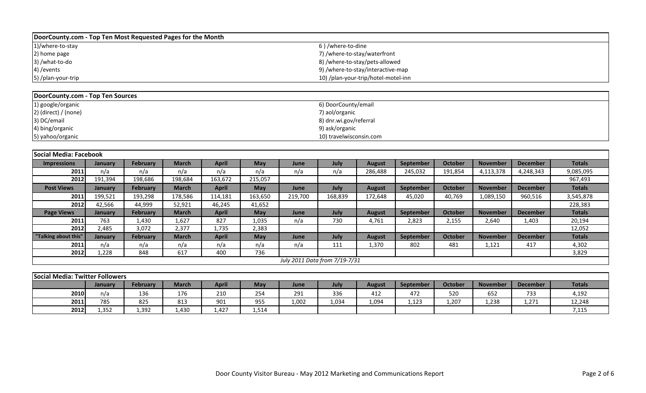| DoorCounty.com - Top Ten Most Requested Pages for the Month |                                     |
|-------------------------------------------------------------|-------------------------------------|
| 1)/where-to-stay                                            | 6)/where-to-dine                    |
| 2) home page                                                | 7) /where-to-stay/waterfront        |
| 3) /what-to-do                                              | 8) /where-to-stay/pets-allowed      |
| 4) / events                                                 | 9) /where-to-stay/interactive-map   |
| 5) /plan-your-trip                                          | 10) /plan-your-trip/hotel-motel-inn |

| DoorCounty.com - Top Ten Sources |                         |
|----------------------------------|-------------------------|
| 1) google/organic                | 6) DoorCounty/email     |
| $2)$ (direct) / (none)           | 7) aol/organic          |
| 3) DC/email                      | 8) dnr.wi.gov/referral  |
| 4) bing/organic                  | 9) ask/organic          |
| 5) yahoo/organic                 | 10) travelwisconsin.com |

| Social Media: Facebook |         |                 |              |              |         |             |                               |               |                  |                |                 |                 |               |
|------------------------|---------|-----------------|--------------|--------------|---------|-------------|-------------------------------|---------------|------------------|----------------|-----------------|-----------------|---------------|
| <b>Impressions</b>     | January | <b>February</b> | <b>March</b> | April        | May     | June        | July                          | <b>August</b> | September        | October        | <b>November</b> | <b>December</b> | <b>Totals</b> |
| 2011                   | n/a     | n/a             | n/a          | n/a          | n/a     | n/a         | n/a                           | 286,488       | 245,032          | 191,854        | 4,113,378       | 4,248,343       | 9,085,095     |
| 2012                   | 191,394 | 198,686         | 198,684      | 163,672      | 215,057 |             |                               |               |                  |                |                 |                 | 967,493       |
| <b>Post Views</b>      | January | <b>February</b> | <b>March</b> | <b>April</b> | May     | June        | July                          | <b>August</b> | September        | <b>October</b> | <b>November</b> | <b>December</b> | <b>Totals</b> |
| 2011                   | 199,521 | 193,298         | 178,586      | 114,181      | 163,650 | 219,700     | 168,839                       | 172,648       | 45,020           | 40,769         | 1,089,150       | 960,516         | 3,545,878     |
| 2012                   | 42,566  | 44,999          | 52,921       | 46,245       | 41,652  |             |                               |               |                  |                |                 |                 | 228,383       |
| <b>Page Views</b>      | January | February        | <b>March</b> | <b>April</b> | May     | <b>June</b> | July                          | <b>August</b> | September        | October        | <b>November</b> | <b>December</b> | <b>Totals</b> |
| 2011                   | 763     | 1,430           | 1,627        | 827          | 1,035   | n/a         | 730                           | 4,761         | 2,823            | 2,155          | 2,640           | 1,403           | 20,194        |
| 2012                   | 2,485   | 3,072           | 2,377        | 1,735        | 2,383   |             |                               |               |                  |                |                 |                 | 12,052        |
| "Talking about this"   | January | <b>February</b> | <b>March</b> | <b>April</b> | May     | June        | July                          | <b>August</b> | <b>September</b> | <b>October</b> | <b>November</b> | <b>December</b> | <b>Totals</b> |
| 2011                   | n/a     | n/a             | n/a          | n/a          | n/a     | n/a         | 111                           | 1,370         | 802              | 481            | 1,121           | 417             | 4,302         |
| 2012                   | 1,228   | 848             | 617          | 400          | 736     |             |                               |               |                  |                |                 |                 | 3,829         |
|                        |         |                 |              |              |         |             | July 2011 Data from 7/19-7/31 |               |                  |                |                 |                 |               |

| Social Media: Twitter Followers |                                                                                                                                                              |       |       |      |       |       |       |       |       |       |       |       |        |  |  |
|---------------------------------|--------------------------------------------------------------------------------------------------------------------------------------------------------------|-------|-------|------|-------|-------|-------|-------|-------|-------|-------|-------|--------|--|--|
|                                 | <b>Totals</b><br>April<br>October<br>February<br>March<br>July<br>May<br><b>November</b><br>September<br><b>December</b><br><b>August</b><br>June<br>January |       |       |      |       |       |       |       |       |       |       |       |        |  |  |
| 2010                            | n/a                                                                                                                                                          | 136   | 176   | 210  | 254   | 291   | 336   | 412   | 472   | 520   | 652   | 733   | 4,192  |  |  |
| 2011                            | 785                                                                                                                                                          | 825   | 813   | 901  | 955   | 1,002 | 1,034 | 1,094 | 1,123 | 1,207 | 1,238 | 1,271 | 12,248 |  |  |
| 2012                            | 1.352                                                                                                                                                        | 1,392 | 1.430 | 427ء | 1,514 |       |       |       |       |       |       |       | 7,115  |  |  |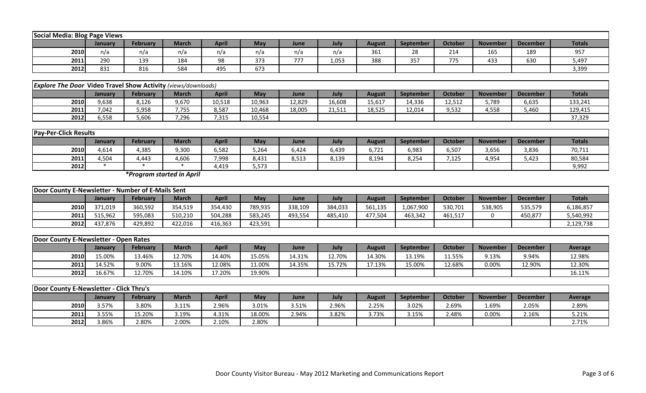| Social Media: Blog Page Views                                                                                                                                              |     |     |     |     |     |     |       |     |     |     |     |     |       |  |
|----------------------------------------------------------------------------------------------------------------------------------------------------------------------------|-----|-----|-----|-----|-----|-----|-------|-----|-----|-----|-----|-----|-------|--|
| <b>Totals</b><br>April<br>July<br><b>October</b><br>February<br>March<br><b>November</b><br><b>May</b><br><b>September</b><br><b>December</b><br>August<br>June<br>January |     |     |     |     |     |     |       |     |     |     |     |     |       |  |
| 2010                                                                                                                                                                       | n/a | n/a | n/a | n/a | n/a | n/a | n/a   | 361 | 28  | 214 | 165 | 189 | 957   |  |
| 2011                                                                                                                                                                       | 290 | 139 | 184 | 98  | 373 | 777 | 1,053 | 388 | 357 | 775 | 433 | 630 | 5,497 |  |
| 2012                                                                                                                                                                       | 831 | 816 | 584 | 495 | 673 |     |       |     |     |     |     |     | 3,399 |  |

| <b>Explore The Door Video Travel Show Activity (views/downloads)</b> |                                                                                                                                                              |       |               |        |        |        |        |        |        |        |       |       |         |  |  |
|----------------------------------------------------------------------|--------------------------------------------------------------------------------------------------------------------------------------------------------------|-------|---------------|--------|--------|--------|--------|--------|--------|--------|-------|-------|---------|--|--|
|                                                                      | <b>Totals</b><br>April<br><b>October</b><br>May<br>February<br><b>November</b><br>March<br><b>December</b><br>July<br>September<br>August<br>June<br>Januarv |       |               |        |        |        |        |        |        |        |       |       |         |  |  |
| 2010                                                                 | 9,638                                                                                                                                                        | 8,126 | 9,670         | 10,518 | 10,963 | 12,829 | 16,608 | 15,617 | 14,336 | 12,512 | 5,789 | 6,635 | 133,241 |  |  |
| 2011                                                                 | 7,042                                                                                                                                                        | 5,958 | 7755<br>. . ، | 8,587  | 10,468 | 18,005 | 21,511 | 18,525 | 12,014 | 9,532  | 4,558 | 5,460 | 129,415 |  |  |
| 2012                                                                 | 5.558                                                                                                                                                        | 5,606 | 7,296         | 315,'  | 10,554 |        |        |        |        |        |       |       | 37,329  |  |  |

|      | <b>Pay-Per-Click Results</b> |          |              |       |       |       |       |        |                  |         |                 |                 |               |  |
|------|------------------------------|----------|--------------|-------|-------|-------|-------|--------|------------------|---------|-----------------|-----------------|---------------|--|
|      | January                      | February | <b>March</b> | April | May   | June  | July  | August | <b>September</b> | October | <b>November</b> | <b>December</b> | <b>Totals</b> |  |
| 2010 | 4,614                        | 4,385    | 9,300        | 6,582 | 5.264 | 6,424 | 439,د | 6,721  | 6,983            | 6,507   | 3,656           | 3,836           | 70,711        |  |
| 2011 | 4.504                        | ,443     | 4,606        | 7,998 | 8,431 | 8,513 | 8,139 | 8,194  | 8,254            | 7,125   | 4,954           | 5,423           | 80,584        |  |
| 2012 |                              |          |              | 4,419 | 5,573 |       |       |        |                  |         |                 |                 | 9,992         |  |

*\*Program started in April*

| Door County E-Newsletter - Number of E-Mails Sent |         |                 |              |              |         |         |         |               |           |         |                 |                 |               |
|---------------------------------------------------|---------|-----------------|--------------|--------------|---------|---------|---------|---------------|-----------|---------|-----------------|-----------------|---------------|
|                                                   | Januarv | <b>February</b> | <b>March</b> | <b>April</b> | May     | June    | July    | <b>August</b> | September | October | <b>November</b> | <b>December</b> | <b>Totals</b> |
| 2010                                              | 371.019 | 360,592         | 354,519      | 354.430      | 789,935 | 338,109 | 384,033 | 561,135       | 1,067,900 | 530,701 | 538,905         | 535,579         | 6,186,857     |
| 2011                                              | 515.962 | 595,083         | 510,210      | 504,288      | 583,245 | 493,554 | 485,410 | 477.504       | 463.342   | 461,517 |                 | 450,877         | 5,540,992     |
| 2012                                              | 437.876 | 429,892         | 422.016      | 416,363      | 423,591 |         |         |               |           |         |                 |                 | 2,129,738     |

| <b>IDoor County E-Newsletter - Open Rates</b> |         |                 |              |        |        |        |        |        |                  |                |                 |                 |                |
|-----------------------------------------------|---------|-----------------|--------------|--------|--------|--------|--------|--------|------------------|----------------|-----------------|-----------------|----------------|
|                                               | Januarv | <b>February</b> | <b>March</b> | April  | May    | June   | July   | August | <b>September</b> | <b>October</b> | <b>November</b> | <b>December</b> | <b>Average</b> |
| 2010                                          | 15.00%  | 13.46%          | 12.70%       | 14.40% | 15.05% | 14.31% | 12.70% | 4.30%  | 13.19%           | 11.55%         | 9.13%           | 9.94%           | 12.98%         |
| 2011                                          | 14.52%  | 9.00%           | 13.16%       | 12.08% | L1.00% | 14.35% | .5.72% | .7.13% | 15.00%           | 12.68%         | 0.00%           | 12.90%          | 12.30%         |
| 2012                                          | 16.67%  | 12.70%          | 14.10%       | 17.20% | 19.90% |        |        |        |                  |                |                 |                 | 16.11%         |

| <b>Door County E-Newsletter - Click Thru's</b> |         |                 |       |       |        |       |       |        |           |         |                 |                 |         |
|------------------------------------------------|---------|-----------------|-------|-------|--------|-------|-------|--------|-----------|---------|-----------------|-----------------|---------|
|                                                | Januarv | <b>February</b> | March | April | May    | June  | July  | August | September | October | <b>November</b> | <b>December</b> | Average |
| 2010                                           | 3.57%   | 3.80%           | 3.11% | 2.96% | 3.01%  | 3.51% | 2.96% | 2.25%  | 3.02%     | 2.69%   | 1.69%           | 2.05%           | 2.89%   |
| 2011                                           | 3.55%   | 5.20%           | 3.19% | 4.31% | 18.00% | 2.94% | 3.82% | 3.73%  | 3.15%     | 2.48%   | 0.00%           | 2.16%           | 5.21%   |
| 2012                                           | 3.86%   | 2.80%           | 2.00% | 2.10% | 2.80%  |       |       |        |           |         |                 |                 | 2.71%   |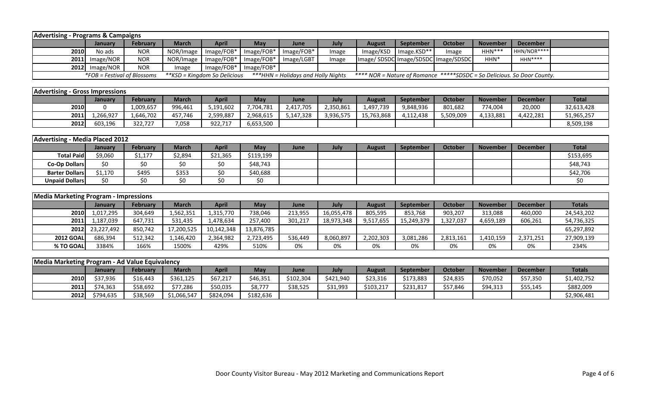| <b>Advertising - Programs &amp; Campaigns</b>                                                                                                                                       |                  |                 |           |              |                           |            |       |                                     |                  |         |                 |             |  |
|-------------------------------------------------------------------------------------------------------------------------------------------------------------------------------------|------------------|-----------------|-----------|--------------|---------------------------|------------|-------|-------------------------------------|------------------|---------|-----------------|-------------|--|
|                                                                                                                                                                                     | January          | <b>February</b> | March     | <b>April</b> | May                       | June       | July  | <b>August</b>                       | <b>September</b> | October | <b>November</b> | December    |  |
| <b>2010</b>                                                                                                                                                                         | No ads           | <b>NOR</b>      | NOR/Image |              | $Image/FOB*$   Image/FOB* | Image/FOB* | mage  | Image/KSD                           | Image.KSD**      | Image   | $HHN***$        | HHN/NOR**** |  |
|                                                                                                                                                                                     | 2011 Image/NOR   | <b>NOR</b>      | NOR/Image |              | $Image/FOB*$   Image/FOB* | Image/LGBT | Image | Image/SDSDC Image/SDSDC Image/SDSDC |                  |         | HHN*            | $HHN***$    |  |
|                                                                                                                                                                                     | $2012$ Image/NOR | <b>NOR</b>      | Image     |              | Image/FOB*   Image/FOB*   |            |       |                                     |                  |         |                 |             |  |
| <i>*FOB = Festival of Blossoms</i><br>***HHN = Holidays and Holly Nights<br>**** NOR = Nature of Romance *****SDSDC = So Delicious. So Door County.<br>**KSD = Kingdom So Delicious |                  |                 |           |              |                           |            |       |                                     |                  |         |                 |             |  |

| <b>Advertising - Gross Impressions</b> |          |           |         |           |           |           |           |            |           |                |                 |                 |              |
|----------------------------------------|----------|-----------|---------|-----------|-----------|-----------|-----------|------------|-----------|----------------|-----------------|-----------------|--------------|
|                                        | Januarv  | February  | March   | April     | May       | June      | July      | August     | September | <b>October</b> | <b>November</b> | <b>December</b> | <b>Total</b> |
| 2010                                   |          | 1,009,657 | 996,461 | 5,191,602 | 7,704,781 | 2,417,705 | 2,350,861 | 1,497,739  | 9,848,936 | 801,682        | 774,004         | 20,000          | 32,613,428   |
| 2011                                   | .266.927 | 1.646.702 | 457.746 | 2.599.887 | 2,968,615 | 5,147,328 | 3,936,575 | 15,763,868 | 4,112,438 | 5.509.009      | 4,133,881       | 4.422.281       | 51,965,257   |
| 2012                                   | 603.196  | 322.727   | 7,058   | 922,717   | 6,653,500 |           |           |            |           |                |                 |                 | 8,509,198    |

| Advertising - Media Placed 2012 |         |                 |              |              |           |      |      |        |                  |                |                 |                 |              |
|---------------------------------|---------|-----------------|--------------|--------------|-----------|------|------|--------|------------------|----------------|-----------------|-----------------|--------------|
|                                 | Januarv | <b>February</b> | <b>March</b> | <b>April</b> | May       | June | July | August | <b>September</b> | <b>October</b> | <b>November</b> | <b>December</b> | <b>Total</b> |
| <b>Total Paid</b>               | \$9,060 | \$1,177         | \$2,894      | \$21,365     | \$119,199 |      |      |        |                  |                |                 |                 | \$153,695    |
| Co-Op Dollars                   | \$0     | \$0             |              | \$0          | \$48,743  |      |      |        |                  |                |                 |                 | \$48,743     |
| <b>Barter Dollars</b>           | \$1,170 | \$495           | \$353        | \$0          | \$40,688  |      |      |        |                  |                |                 |                 | \$42,706     |
| <b>Unpaid Dollars</b>           | \$0     |                 |              | ∩><br>υv     | \$0       |      |      |        |                  |                |                 |                 |              |

| Media Marketing Program - Impressions |            |                 |            |              |            |         |            |               |            |                |                 |                 |               |
|---------------------------------------|------------|-----------------|------------|--------------|------------|---------|------------|---------------|------------|----------------|-----------------|-----------------|---------------|
|                                       | January    | <b>February</b> | March      | <b>April</b> | May        | June    | July       | <b>August</b> | September  | <b>October</b> | <b>November</b> | <b>December</b> | <b>Totals</b> |
| <b>2010</b>                           | 1,017,295  | 304,649         | .,562,351  | 1,315,770    | 738,046    | 213,955 | 16,055,478 | 805,595       | 853,768    | 903,207        | 313,088         | 460,000         | 24,543,202    |
| 2011                                  | ,187,039   | 647,731         | 531,435    | 1,478,634    | 257,400    | 301,217 | 18,973,348 | 9,517,655     | 15,249,379 | 1,327,037      | 4,659,189       | 606,261         | 54,736,325    |
| 2012                                  | 23,227,492 | 850,742         | 17,200,525 | 10,142,348   | 13,876,785 |         |            |               |            |                |                 |                 | 65,297,892    |
| <b>2012 GOAL</b>                      | 686.394    | 512,342         | .,146,420  | 2,364,982    | 2,723,495  | 536,449 | 8,060,897  | 2,202,303     | 3,081,286  | 2,813,161      | 1,410,159       | 2,371,251       | 27,909,139    |
| % TO GOAL                             | 3384%      | 166%            | 1500%      | 429%         | 510%       | 0%      | 0%         | 0%            | 0%         | 0%             | 0%              | 0%              | 234%          |

| Media Marketing Program - Ad Value Equivalency |                |                 |              |           |           |           |           |               |           |          |                 |                 |               |
|------------------------------------------------|----------------|-----------------|--------------|-----------|-----------|-----------|-----------|---------------|-----------|----------|-----------------|-----------------|---------------|
|                                                | <b>January</b> | <b>February</b> | <b>March</b> | April     | May       | June      | July      | <b>August</b> | September | October  | <b>November</b> | <b>December</b> | <b>Totals</b> |
| 2010                                           | \$37,936       | \$16,443        | \$361,125    | \$67,217  | \$46,351  | \$102,304 | \$421,940 | \$23,316      | \$173,883 | \$24,835 | \$70,052        | \$57,350        | \$1,402,752   |
| 2011                                           | \$74,363       | \$58,692        | \$77,286     | \$50,035  | \$8,777   | \$38,525  | \$31,993  | \$103,217     | \$231,817 | \$57,846 | \$94,313        | \$55,145        | \$882,009     |
| 2012                                           | \$794.635      | \$38,569        | \$1,066,547  | \$824,094 | \$182,636 |           |           |               |           |          |                 |                 | \$2,906,481   |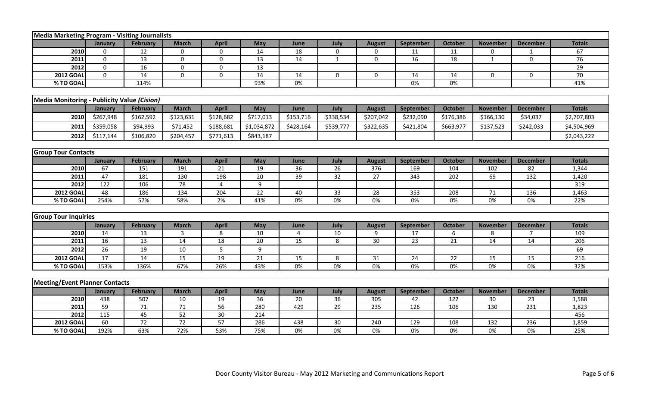| Media Marketing Program - Visiting Journalists |                                             |                 |                 |              |                 |                 |                 |               |                  |                  |                 |                 |               |  |  |
|------------------------------------------------|---------------------------------------------|-----------------|-----------------|--------------|-----------------|-----------------|-----------------|---------------|------------------|------------------|-----------------|-----------------|---------------|--|--|
|                                                | January                                     | February        | <b>March</b>    | <b>April</b> | May             | June            | July            | <b>August</b> | <b>September</b> | October          | <b>November</b> | <b>December</b> | <b>Totals</b> |  |  |
| 2010                                           | $\mathbf 0$                                 | 12              | $\mathbf 0$     | 0            | 14              | 18              | 0               | $\mathbf 0$   | 11               | 11               | 0               | $\mathbf{1}$    | 67            |  |  |
| 2011                                           | $\mathbf 0$                                 | 13              | $\mathbf 0$     | $\mathbf 0$  | 13              | 14              | $\mathbf{1}$    | 0             | 16               | 18               | $\mathbf{1}$    | $\mathbf 0$     | 76            |  |  |
| 2012                                           | $\mathbf 0$                                 | 16              | $\mathbf 0$     | 0            | 13              |                 |                 |               |                  |                  |                 |                 | 29            |  |  |
| <b>2012 GOAL</b>                               | $\mathbf 0$                                 | 14              | $\mathbf 0$     | $\mathbf 0$  | 14              | 14              | $\mathbf 0$     | $\mathbf 0$   | 14               | 14               | $\mathbf 0$     | $\mathbf 0$     | 70            |  |  |
| % TO GOAL                                      |                                             | 114%            |                 |              | 93%             | $0\%$           |                 |               | 0%               | $0\%$            |                 |                 | 41%           |  |  |
|                                                |                                             |                 |                 |              |                 |                 |                 |               |                  |                  |                 |                 |               |  |  |
|                                                | Media Monitoring - Publicity Value (Cision) |                 |                 |              |                 |                 |                 |               |                  |                  |                 |                 |               |  |  |
|                                                | January                                     | <b>February</b> | <b>March</b>    | <b>April</b> | May             | June            | July            | <b>August</b> | <b>September</b> | <b>October</b>   | <b>November</b> | <b>December</b> | <b>Totals</b> |  |  |
| 2010                                           | \$267,948                                   | \$162,592       | \$123,631       | \$128,682    | \$717,013       | \$153,716       | \$338,534       | \$207,042     | \$232,090        | \$176,386        | \$166,130       | \$34,037        | \$2,707,803   |  |  |
| 2011                                           | \$359,058                                   | \$94,993        | \$71,452        | \$188,681    | \$1,034,872     | \$428,164       | \$539,777       | \$322,635     | \$421,804        | \$663,977        | \$137,523       | \$242,033       | \$4,504,969   |  |  |
| 2012                                           | \$117,144                                   | \$106,820       | \$204,457       | \$771,613    | \$843,187       |                 |                 |               |                  |                  |                 |                 | \$2,043,222   |  |  |
|                                                |                                             |                 |                 |              |                 |                 |                 |               |                  |                  |                 |                 |               |  |  |
| <b>Group Tour Contacts</b>                     |                                             |                 |                 |              |                 |                 |                 |               |                  |                  |                 |                 |               |  |  |
|                                                | January                                     | <b>February</b> | <b>March</b>    | <b>April</b> | May             | June            | July            | <b>August</b> | <b>September</b> | <b>October</b>   | <b>November</b> | <b>December</b> | <b>Totals</b> |  |  |
| 2010                                           | 67                                          | 151             | 191             | 21           | 19              | 36              | 26              | 376           | 169              | 104              | 102             | 82              | 1,344         |  |  |
| 2011                                           | 47                                          | 181             | 130             | 198          | $\overline{20}$ | $\overline{39}$ | $\overline{32}$ | 27            | 343              | $\overline{202}$ | 69              | 132             | 1,420         |  |  |
| 2012                                           | $\frac{122}{ }$                             | 106             | 78              | 4            | 9               |                 |                 |               |                  |                  |                 |                 | 319           |  |  |
| <b>2012 GOAL</b>                               | 48                                          | 186             | 134             | 204          | 22              | 40              | 33              | 28            | 353              | 208              | 71              | 136             | 1,463         |  |  |
| % TO GOAL                                      | 254%                                        | 57%             | 58%             | 2%           | 41%             | 0%              | 0%              | 0%            | $0\%$            | 0%               | 0%              | 0%              | 22%           |  |  |
|                                                |                                             |                 |                 |              |                 |                 |                 |               |                  |                  |                 |                 |               |  |  |
| <b>Group Tour Inquiries</b>                    |                                             |                 |                 |              |                 |                 |                 |               |                  |                  |                 |                 |               |  |  |
|                                                | January                                     | <b>February</b> | <b>March</b>    | <b>April</b> | May             | June            | July            | <b>August</b> | <b>September</b> | <b>October</b>   | <b>November</b> | <b>December</b> | <b>Totals</b> |  |  |
| 2010                                           | 14                                          | 13              | $\overline{3}$  | 8            | 10              | 4               | 10              | 9             | 17               | 6                | 8               | $\overline{7}$  | 109           |  |  |
| 2011                                           | 16                                          | 13              | 14              | 18           | 20              | 15              | 8               | 30            | 23               | 21               | 14              | 14              | 206           |  |  |
| 2012                                           | 26                                          | 19              | 10              | 5            | 9               |                 |                 |               |                  |                  |                 |                 | 69            |  |  |
| <b>2012 GOAL</b>                               | 17                                          | 14              | 15              | 19           | 21              | 15              | 8               | 31            | 24               | 22               | 15              | 15              | 216           |  |  |
| % TO GOAL                                      | 153%                                        | 136%            | 67%             | 26%          | 43%             | $0\%$           | $0\%$           | $0\%$         | $0\%$            | $0\%$            | $0\%$           | $0\%$           | 32%           |  |  |
|                                                |                                             |                 |                 |              |                 |                 |                 |               |                  |                  |                 |                 |               |  |  |
| <b>Meeting/Event Planner Contacts</b>          |                                             |                 |                 |              |                 |                 |                 |               |                  |                  |                 |                 |               |  |  |
|                                                | January                                     | <b>February</b> | <b>March</b>    | <b>April</b> | May             | June            | July            | <b>August</b> | September        | <b>October</b>   | <b>November</b> | <b>December</b> | <b>Totals</b> |  |  |
| 2010                                           | 438                                         | 507             | 10              | 19           | 36              | 20              | 36              | 305           | 42               | 122              | 30              | 23              | 1,588         |  |  |
| 2011                                           | 59                                          | $71\,$          | $71\,$          | 56           | 280             | 429             | 29              | 235           | 126              | 106              | 130             | 231             | 1,823         |  |  |
| 2012                                           | 115                                         | 45              | 52              | 30           | 214             |                 |                 |               |                  |                  |                 |                 | 456           |  |  |
| <b>2012 GOAI</b>                               | 60                                          | $\overline{72}$ | $\overline{72}$ | 57           | 286             | 438             | 30 <sup>°</sup> | 240           | 129              | 108              | 132             | 236             | 1,859         |  |  |
| % TO GOAL                                      | 192%                                        | 63%             | 72%             | 53%          | 75%             | 0%              | 0%              | 0%            | 0%               | 0%               | 0%              | 0%              | 25%           |  |  |